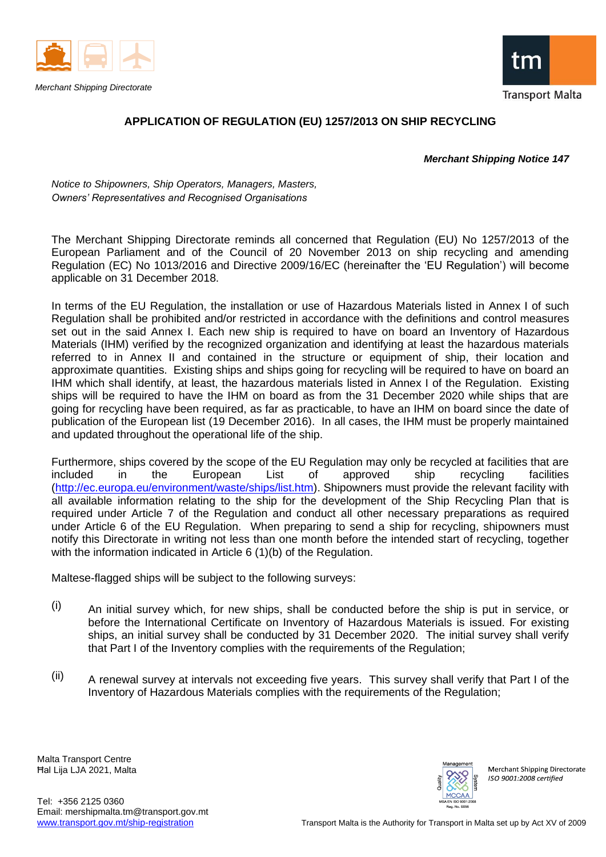



## **APPLICATION OF REGULATION (EU) 1257/2013 ON SHIP RECYCLING**

*Merchant Shipping Notice 147*

*Notice to Shipowners, Ship Operators, Managers, Masters, Owners' Representatives and Recognised Organisations*

The Merchant Shipping Directorate reminds all concerned that Regulation (EU) No 1257/2013 of the European Parliament and of the Council of 20 November 2013 on ship recycling and amending Regulation (EC) No 1013/2016 and Directive 2009/16/EC (hereinafter the 'EU Regulation') will become applicable on 31 December 2018.

In terms of the EU Regulation, the installation or use of Hazardous Materials listed in Annex I of such Regulation shall be prohibited and/or restricted in accordance with the definitions and control measures set out in the said Annex I. Each new ship is required to have on board an Inventory of Hazardous Materials (IHM) verified by the recognized organization and identifying at least the hazardous materials referred to in Annex II and contained in the structure or equipment of ship, their location and approximate quantities. Existing ships and ships going for recycling will be required to have on board an IHM which shall identify, at least, the hazardous materials listed in Annex I of the Regulation. Existing ships will be required to have the IHM on board as from the 31 December 2020 while ships that are going for recycling have been required, as far as practicable, to have an IHM on board since the date of publication of the European list (19 December 2016). In all cases, the IHM must be properly maintained and updated throughout the operational life of the ship.

Furthermore, ships covered by the scope of the EU Regulation may only be recycled at facilities that are included in the European List of approved ship recycling facilities [\(http://ec.europa.eu/environment/waste/ships/list.htm\)](http://ec.europa.eu/environment/waste/ships/list.htm). Shipowners must provide the relevant facility with all available information relating to the ship for the development of the Ship Recycling Plan that is required under Article 7 of the Regulation and conduct all other necessary preparations as required under Article 6 of the EU Regulation. When preparing to send a ship for recycling, shipowners must notify this Directorate in writing not less than one month before the intended start of recycling, together with the information indicated in Article 6 (1)(b) of the Regulation.

Maltese-flagged ships will be subject to the following surveys:

- $(i)$  An initial survey which, for new ships, shall be conducted before the ship is put in service, or before the International Certificate on Inventory of Hazardous Materials is issued. For existing ships, an initial survey shall be conducted by 31 December 2020. The initial survey shall verify that Part I of the Inventory complies with the requirements of the Regulation;
- $(iii)$  A renewal survey at intervals not exceeding five years. This survey shall verify that Part I of the Inventory of Hazardous Materials complies with the requirements of the Regulation;

Malta Transport Centre Ħal Lija LJA 2021, Malta



Merchant Shipping Directorate  $ISO$  9001:2008 certified